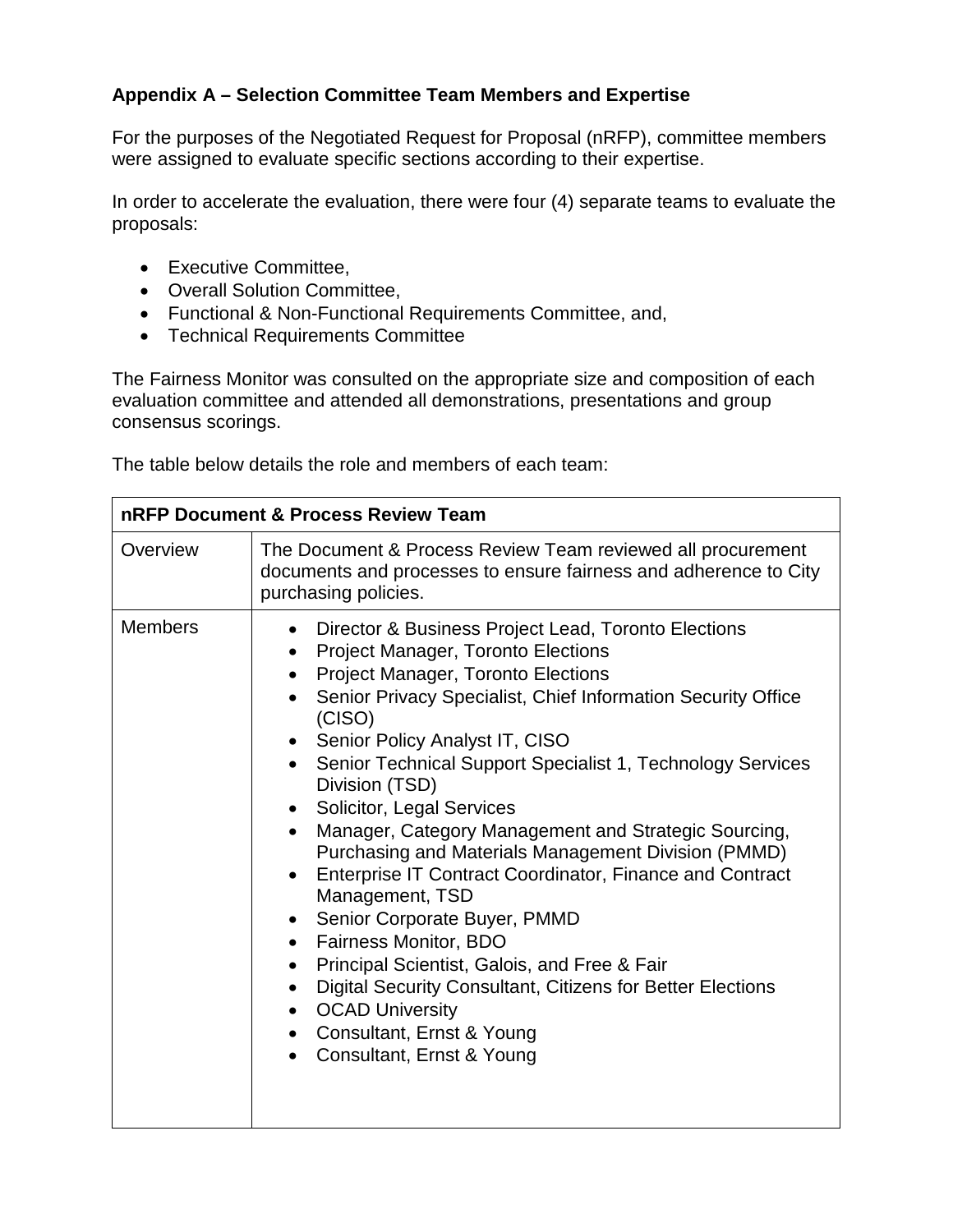## **Appendix A – Selection Committee Team Members and Expertise**

 For the purposes of the Negotiated Request for Proposal (nRFP), committee members were assigned to evaluate specific sections according to their expertise.

In order to accelerate the evaluation, there were four (4) separate teams to evaluate the proposals:

- Executive Committee,
- Overall Solution Committee,
- Functional & Non-Functional Requirements Committee, and,
- Technical Requirements Committee

The Fairness Monitor was consulted on the appropriate size and composition of each evaluation committee and attended all demonstrations, presentations and group consensus scorings.

The table below details the role and members of each team:

| <b>nRFP Document &amp; Process Review Team</b> |                                                                                                                                                                                                                                                                                                                                                                                                                                                                                                                                                                                                                                                                                                                                                                                                                                                                                                                                                                                                          |  |
|------------------------------------------------|----------------------------------------------------------------------------------------------------------------------------------------------------------------------------------------------------------------------------------------------------------------------------------------------------------------------------------------------------------------------------------------------------------------------------------------------------------------------------------------------------------------------------------------------------------------------------------------------------------------------------------------------------------------------------------------------------------------------------------------------------------------------------------------------------------------------------------------------------------------------------------------------------------------------------------------------------------------------------------------------------------|--|
| Overview                                       | The Document & Process Review Team reviewed all procurement<br>documents and processes to ensure fairness and adherence to City<br>purchasing policies.                                                                                                                                                                                                                                                                                                                                                                                                                                                                                                                                                                                                                                                                                                                                                                                                                                                  |  |
| <b>Members</b>                                 | Director & Business Project Lead, Toronto Elections<br>$\bullet$<br><b>Project Manager, Toronto Elections</b><br>$\bullet$<br><b>Project Manager, Toronto Elections</b><br>$\bullet$<br>Senior Privacy Specialist, Chief Information Security Office<br>$\bullet$<br>(CISO)<br>• Senior Policy Analyst IT, CISO<br>• Senior Technical Support Specialist 1, Technology Services<br>Division (TSD)<br><b>Solicitor, Legal Services</b><br>$\bullet$<br>Manager, Category Management and Strategic Sourcing,<br>$\bullet$<br>Purchasing and Materials Management Division (PMMD)<br>Enterprise IT Contract Coordinator, Finance and Contract<br>Management, TSD<br>Senior Corporate Buyer, PMMD<br>$\bullet$<br>Fairness Monitor, BDO<br>$\bullet$<br>Principal Scientist, Galois, and Free & Fair<br>$\bullet$<br><b>Digital Security Consultant, Citizens for Better Elections</b><br>$\bullet$<br>• OCAD University<br>Consultant, Ernst & Young<br>$\bullet$<br>Consultant, Ernst & Young<br>$\bullet$ |  |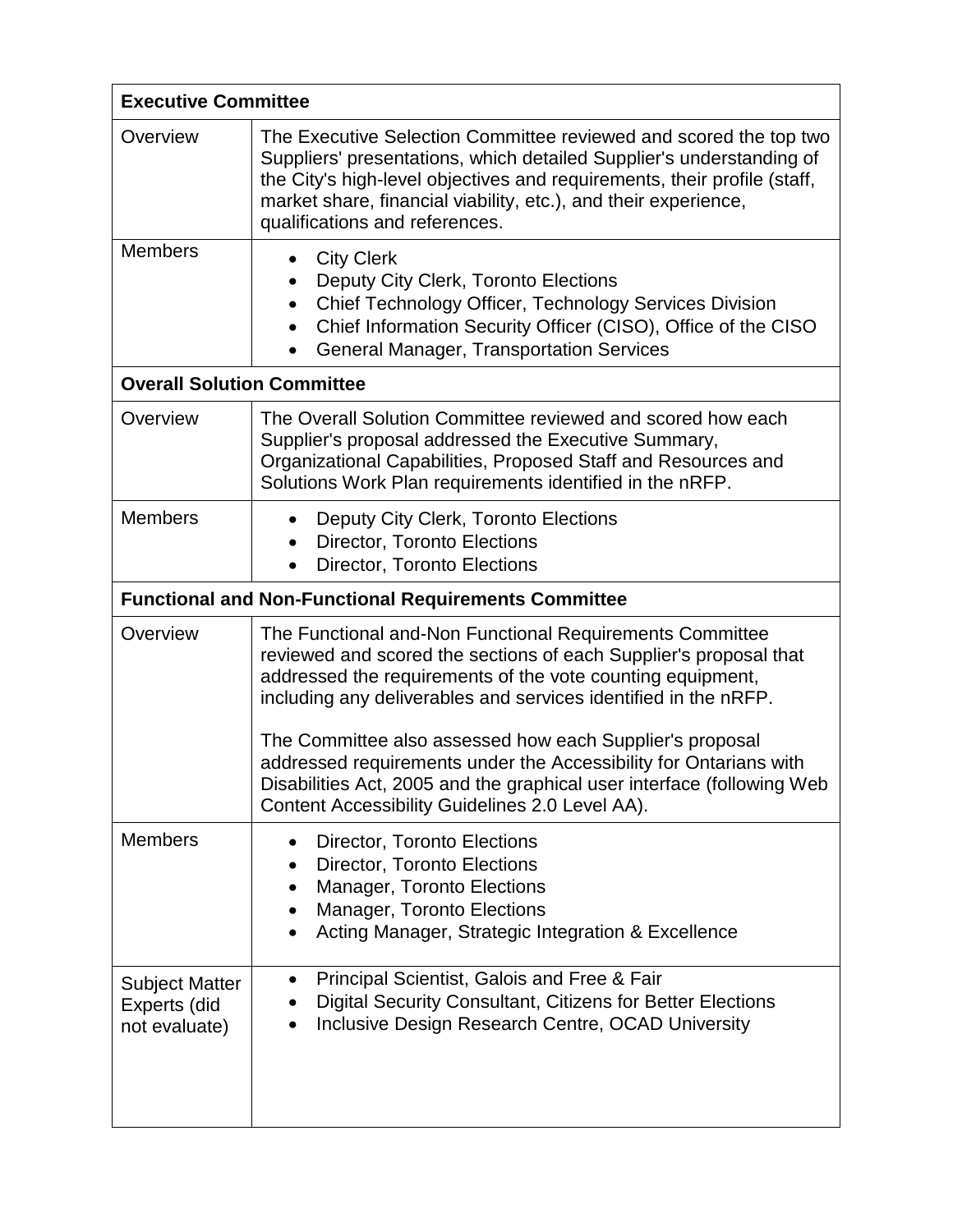| <b>Executive Committee</b>                                  |                                                                                                                                                                                                                                                                                                                                                                                                                                                                                                                              |  |
|-------------------------------------------------------------|------------------------------------------------------------------------------------------------------------------------------------------------------------------------------------------------------------------------------------------------------------------------------------------------------------------------------------------------------------------------------------------------------------------------------------------------------------------------------------------------------------------------------|--|
| Overview                                                    | The Executive Selection Committee reviewed and scored the top two<br>Suppliers' presentations, which detailed Supplier's understanding of<br>the City's high-level objectives and requirements, their profile (staff,<br>market share, financial viability, etc.), and their experience,<br>qualifications and references.                                                                                                                                                                                                   |  |
| <b>Members</b>                                              | <b>City Clerk</b><br>$\bullet$<br>Deputy City Clerk, Toronto Elections<br>Chief Technology Officer, Technology Services Division<br>$\bullet$<br>Chief Information Security Officer (CISO), Office of the CISO<br>$\bullet$<br><b>General Manager, Transportation Services</b><br>$\bullet$                                                                                                                                                                                                                                  |  |
| <b>Overall Solution Committee</b>                           |                                                                                                                                                                                                                                                                                                                                                                                                                                                                                                                              |  |
| Overview                                                    | The Overall Solution Committee reviewed and scored how each<br>Supplier's proposal addressed the Executive Summary,<br>Organizational Capabilities, Proposed Staff and Resources and<br>Solutions Work Plan requirements identified in the nRFP.                                                                                                                                                                                                                                                                             |  |
| <b>Members</b>                                              | Deputy City Clerk, Toronto Elections<br>$\bullet$<br><b>Director, Toronto Elections</b><br><b>Director, Toronto Elections</b><br>$\bullet$                                                                                                                                                                                                                                                                                                                                                                                   |  |
| <b>Functional and Non-Functional Requirements Committee</b> |                                                                                                                                                                                                                                                                                                                                                                                                                                                                                                                              |  |
| Overview                                                    | The Functional and-Non Functional Requirements Committee<br>reviewed and scored the sections of each Supplier's proposal that<br>addressed the requirements of the vote counting equipment,<br>including any deliverables and services identified in the nRFP.<br>The Committee also assessed how each Supplier's proposal<br>addressed requirements under the Accessibility for Ontarians with<br>Disabilities Act, 2005 and the graphical user interface (following Web<br>Content Accessibility Guidelines 2.0 Level AA). |  |
| <b>Members</b>                                              | <b>Director, Toronto Elections</b><br>$\bullet$<br><b>Director, Toronto Elections</b><br>٠<br><b>Manager, Toronto Elections</b><br>Manager, Toronto Elections<br>٠<br>Acting Manager, Strategic Integration & Excellence                                                                                                                                                                                                                                                                                                     |  |
| <b>Subject Matter</b><br>Experts (did<br>not evaluate)      | Principal Scientist, Galois and Free & Fair<br>$\bullet$<br>Digital Security Consultant, Citizens for Better Elections<br>Inclusive Design Research Centre, OCAD University                                                                                                                                                                                                                                                                                                                                                  |  |